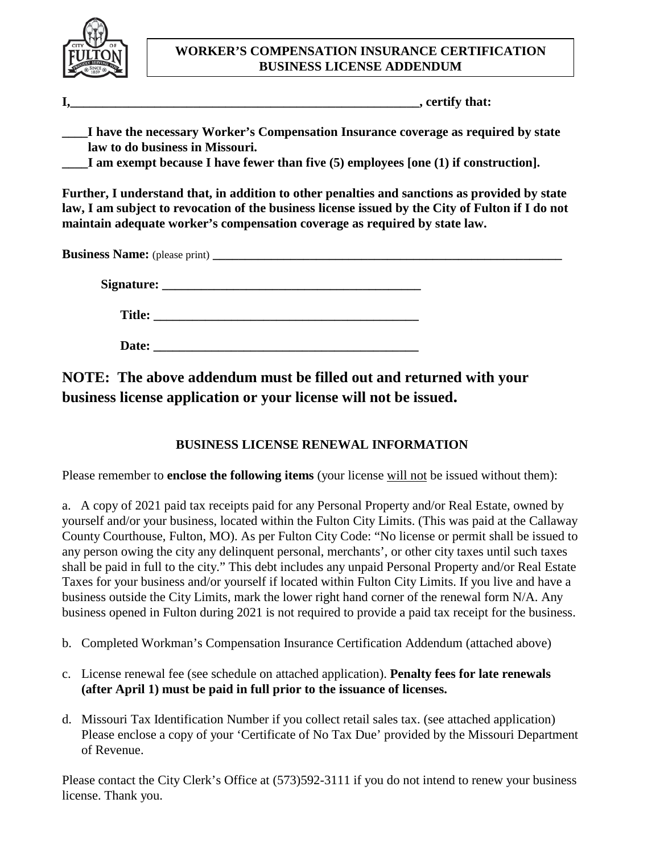

## **WORKER'S COMPENSATION INSURANCE CERTIFICATION BUSINESS LICENSE ADDENDUM**

**I,** certify that:

**\_\_\_\_I have the necessary Worker's Compensation Insurance coverage as required by state law to do business in Missouri.**

**\_\_\_\_I am exempt because I have fewer than five (5) employees [one (1) if construction].**

**Further, I understand that, in addition to other penalties and sanctions as provided by state law, I am subject to revocation of the business license issued by the City of Fulton if I do not maintain adequate worker's compensation coverage as required by state law.**

**Business Name:** (please print) **\_\_\_\_\_\_\_\_\_\_\_\_\_\_\_\_\_\_\_\_\_\_\_\_\_\_\_\_\_\_\_\_\_\_\_\_\_\_\_\_\_\_\_\_\_\_\_\_\_\_\_\_\_\_**

**Signature: \_\_\_\_\_\_\_\_\_\_\_\_\_\_\_\_\_\_\_\_\_\_\_\_\_\_\_\_\_\_\_\_\_\_\_\_\_\_\_\_**

 **Title: \_\_\_\_\_\_\_\_\_\_\_\_\_\_\_\_\_\_\_\_\_\_\_\_\_\_\_\_\_\_\_\_\_\_\_\_\_\_\_\_\_**

 **Date: \_\_\_\_\_\_\_\_\_\_\_\_\_\_\_\_\_\_\_\_\_\_\_\_\_\_\_\_\_\_\_\_\_\_\_\_\_\_\_\_\_**

**NOTE: The above addendum must be filled out and returned with your business license application or your license will not be issued.**

## **BUSINESS LICENSE RENEWAL INFORMATION**

Please remember to **enclose the following items** (your license will not be issued without them):

a. A copy of 2021 paid tax receipts paid for any Personal Property and/or Real Estate, owned by yourself and/or your business, located within the Fulton City Limits. (This was paid at the Callaway County Courthouse, Fulton, MO). As per Fulton City Code: "No license or permit shall be issued to any person owing the city any delinquent personal, merchants', or other city taxes until such taxes shall be paid in full to the city." This debt includes any unpaid Personal Property and/or Real Estate Taxes for your business and/or yourself if located within Fulton City Limits. If you live and have a business outside the City Limits, mark the lower right hand corner of the renewal form N/A. Any business opened in Fulton during 2021 is not required to provide a paid tax receipt for the business.

- b. Completed Workman's Compensation Insurance Certification Addendum (attached above)
- c. License renewal fee (see schedule on attached application). **Penalty fees for late renewals (after April 1) must be paid in full prior to the issuance of licenses.**
- d. Missouri Tax Identification Number if you collect retail sales tax. (see attached application) Please enclose a copy of your 'Certificate of No Tax Due' provided by the Missouri Department of Revenue.

Please contact the City Clerk's Office at (573)592-3111 if you do not intend to renew your business license. Thank you.